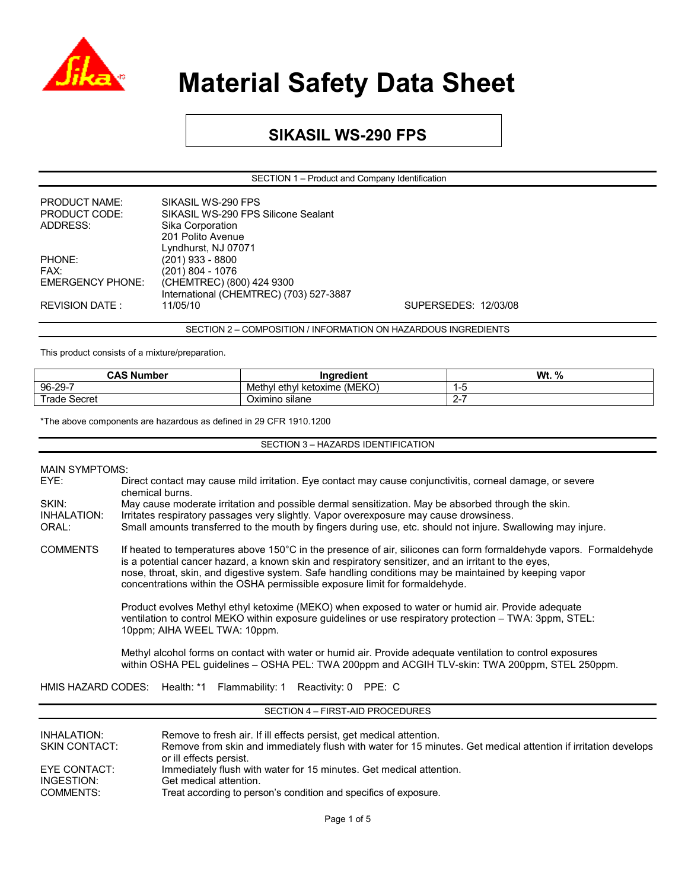

### **SIKASIL WS-290 FPS**

SECTION 1 – Product and Company Identification

| <b>PRODUCT NAME:</b>    | SIKASIL WS-290 FPS                      |                      |
|-------------------------|-----------------------------------------|----------------------|
| <b>PRODUCT CODE:</b>    | SIKASIL WS-290 FPS Silicone Sealant     |                      |
| ADDRESS:                | Sika Corporation                        |                      |
|                         | 201 Polito Avenue                       |                      |
|                         | Lyndhurst, NJ 07071                     |                      |
| PHONE:                  | (201) 933 - 8800                        |                      |
| FAX:                    | (201) 804 - 1076                        |                      |
| <b>EMERGENCY PHONE:</b> | (CHEMTREC) (800) 424 9300               |                      |
|                         | International (CHEMTREC) (703) 527-3887 |                      |
| <b>REVISION DATE:</b>   | 11/05/10                                | SUPERSEDES: 12/03/08 |
|                         |                                         |                      |

SECTION 2 – COMPOSITION / INFORMATION ON HAZARDOUS INGREDIENTS

This product consists of a mixture/preparation.

| <b>CAS Number</b> | <br>Ingredient                    | <b>Wt.</b> %  |
|-------------------|-----------------------------------|---------------|
| 96-29-7           | I ethyl ketoxime (MEKO)<br>Methvl | 1-L           |
| Trade Secret      | <br>Oximino silane                | ∽<br><u>_</u> |

\*The above components are hazardous as defined in 29 CFR 1910.1200

SECTION 3 – HAZARDS IDENTIFICATION

## MAIN SYMPTOMS:<br>EYE: D

- Direct contact may cause mild irritation. Eye contact may cause conjunctivitis, corneal damage, or severe chemical burns. SKIN: May cause moderate irritation and possible dermal sensitization. May be absorbed through the skin.
- INHALATION: Irritates respiratory passages very slightly. Vapor overexposure may cause drowsiness.

ORAL: Small amounts transferred to the mouth by fingers during use, etc. should not injure. Swallowing may injure.

COMMENTS If heated to temperatures above 150°C in the presence of air, silicones can form formaldehyde vapors. Formaldehyde is a potential cancer hazard, a known skin and respiratory sensitizer, and an irritant to the eyes, nose, throat, skin, and digestive system. Safe handling conditions may be maintained by keeping vapor concentrations within the OSHA permissible exposure limit for formaldehyde.

> Product evolves Methyl ethyl ketoxime (MEKO) when exposed to water or humid air. Provide adequate ventilation to control MEKO within exposure guidelines or use respiratory protection – TWA: 3ppm, STEL: 10ppm; AIHA WEEL TWA: 10ppm.

Methyl alcohol forms on contact with water or humid air. Provide adequate ventilation to control exposures within OSHA PEL guidelines – OSHA PEL: TWA 200ppm and ACGIH TLV-skin: TWA 200ppm, STEL 250ppm.

HMIS HAZARD CODES: Health: \*1 Flammability: 1 Reactivity: 0 PPE: C

#### SECTION 4 – FIRST-AID PROCEDURES

| INHALATION:<br><b>SKIN CONTACT:</b> | Remove to fresh air. If ill effects persist, get medical attention.<br>Remove from skin and immediately flush with water for 15 minutes. Get medical attention if irritation develops<br>or ill effects persist. |
|-------------------------------------|------------------------------------------------------------------------------------------------------------------------------------------------------------------------------------------------------------------|
| EYE CONTACT:<br>INGESTION:          | Immediately flush with water for 15 minutes. Get medical attention.<br>Get medical attention.                                                                                                                    |
| COMMENTS:                           | Treat according to person's condition and specifics of exposure.                                                                                                                                                 |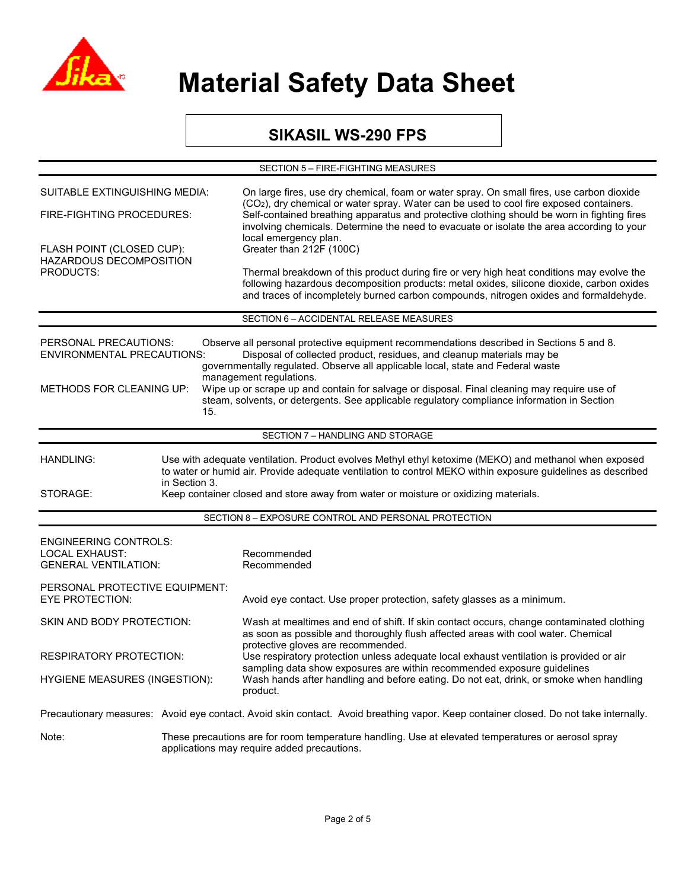

### **SIKASIL WS-290 FPS**

| SECTION 5 - FIRE-FIGHTING MEASURES                                                                                                                                                                                                                                                                                                                                                                                                                                                                                                                                      |                                                                                                                                                   |                                                                                                                                                                                                                                                                                 |  |  |
|-------------------------------------------------------------------------------------------------------------------------------------------------------------------------------------------------------------------------------------------------------------------------------------------------------------------------------------------------------------------------------------------------------------------------------------------------------------------------------------------------------------------------------------------------------------------------|---------------------------------------------------------------------------------------------------------------------------------------------------|---------------------------------------------------------------------------------------------------------------------------------------------------------------------------------------------------------------------------------------------------------------------------------|--|--|
| <b>SUITABLE EXTINGUISHING MEDIA:</b>                                                                                                                                                                                                                                                                                                                                                                                                                                                                                                                                    |                                                                                                                                                   | On large fires, use dry chemical, foam or water spray. On small fires, use carbon dioxide<br>(CO <sub>2</sub> ), dry chemical or water spray. Water can be used to cool fire exposed containers.                                                                                |  |  |
| FIRE-FIGHTING PROCEDURES:                                                                                                                                                                                                                                                                                                                                                                                                                                                                                                                                               |                                                                                                                                                   | Self-contained breathing apparatus and protective clothing should be worn in fighting fires<br>involving chemicals. Determine the need to evacuate or isolate the area according to your<br>local emergency plan.                                                               |  |  |
| FLASH POINT (CLOSED CUP):<br>HAZARDOUS DECOMPOSITION                                                                                                                                                                                                                                                                                                                                                                                                                                                                                                                    |                                                                                                                                                   | Greater than 212F (100C)                                                                                                                                                                                                                                                        |  |  |
| <b>PRODUCTS:</b>                                                                                                                                                                                                                                                                                                                                                                                                                                                                                                                                                        |                                                                                                                                                   | Thermal breakdown of this product during fire or very high heat conditions may evolve the<br>following hazardous decomposition products: metal oxides, silicone dioxide, carbon oxides<br>and traces of incompletely burned carbon compounds, nitrogen oxides and formaldehyde. |  |  |
|                                                                                                                                                                                                                                                                                                                                                                                                                                                                                                                                                                         |                                                                                                                                                   | SECTION 6 - ACCIDENTAL RELEASE MEASURES                                                                                                                                                                                                                                         |  |  |
| Observe all personal protective equipment recommendations described in Sections 5 and 8.<br>PERSONAL PRECAUTIONS:<br>Disposal of collected product, residues, and cleanup materials may be<br><b>ENVIRONMENTAL PRECAUTIONS:</b><br>governmentally regulated. Observe all applicable local, state and Federal waste<br>management regulations.<br>METHODS FOR CLEANING UP:<br>Wipe up or scrape up and contain for salvage or disposal. Final cleaning may require use of<br>steam, solvents, or detergents. See applicable regulatory compliance information in Section |                                                                                                                                                   |                                                                                                                                                                                                                                                                                 |  |  |
|                                                                                                                                                                                                                                                                                                                                                                                                                                                                                                                                                                         | 15.                                                                                                                                               |                                                                                                                                                                                                                                                                                 |  |  |
|                                                                                                                                                                                                                                                                                                                                                                                                                                                                                                                                                                         |                                                                                                                                                   | SECTION 7 - HANDLING AND STORAGE                                                                                                                                                                                                                                                |  |  |
| Use with adequate ventilation. Product evolves Methyl ethyl ketoxime (MEKO) and methanol when exposed<br><b>HANDLING:</b><br>to water or humid air. Provide adequate ventilation to control MEKO within exposure guidelines as described<br>in Section 3.<br>Keep container closed and store away from water or moisture or oxidizing materials.<br>STORAGE:                                                                                                                                                                                                            |                                                                                                                                                   |                                                                                                                                                                                                                                                                                 |  |  |
|                                                                                                                                                                                                                                                                                                                                                                                                                                                                                                                                                                         |                                                                                                                                                   | SECTION 8 - EXPOSURE CONTROL AND PERSONAL PROTECTION                                                                                                                                                                                                                            |  |  |
|                                                                                                                                                                                                                                                                                                                                                                                                                                                                                                                                                                         |                                                                                                                                                   |                                                                                                                                                                                                                                                                                 |  |  |
| <b>ENGINEERING CONTROLS:</b><br><b>LOCAL EXHAUST:</b><br><b>GENERAL VENTILATION:</b>                                                                                                                                                                                                                                                                                                                                                                                                                                                                                    |                                                                                                                                                   | Recommended<br>Recommended                                                                                                                                                                                                                                                      |  |  |
| PERSONAL PROTECTIVE EQUIPMENT:<br><b>EYE PROTECTION:</b>                                                                                                                                                                                                                                                                                                                                                                                                                                                                                                                |                                                                                                                                                   | Avoid eye contact. Use proper protection, safety glasses as a minimum.                                                                                                                                                                                                          |  |  |
| SKIN AND BODY PROTECTION:                                                                                                                                                                                                                                                                                                                                                                                                                                                                                                                                               |                                                                                                                                                   | Wash at mealtimes and end of shift. If skin contact occurs, change contaminated clothing<br>as soon as possible and thoroughly flush affected areas with cool water. Chemical<br>protective gloves are recommended.                                                             |  |  |
| RESPIRATORY PROTECTION:                                                                                                                                                                                                                                                                                                                                                                                                                                                                                                                                                 |                                                                                                                                                   | Use respiratory protection unless adequate local exhaust ventilation is provided or air                                                                                                                                                                                         |  |  |
| <b>HYGIENE MEASURES (INGESTION):</b>                                                                                                                                                                                                                                                                                                                                                                                                                                                                                                                                    |                                                                                                                                                   | sampling data show exposures are within recommended exposure guidelines<br>Wash hands after handling and before eating. Do not eat, drink, or smoke when handling<br>product.                                                                                                   |  |  |
|                                                                                                                                                                                                                                                                                                                                                                                                                                                                                                                                                                         |                                                                                                                                                   | Precautionary measures: Avoid eye contact. Avoid skin contact. Avoid breathing vapor. Keep container closed. Do not take internally.                                                                                                                                            |  |  |
| Note:                                                                                                                                                                                                                                                                                                                                                                                                                                                                                                                                                                   | These precautions are for room temperature handling. Use at elevated temperatures or aerosol spray<br>applications may require added precautions. |                                                                                                                                                                                                                                                                                 |  |  |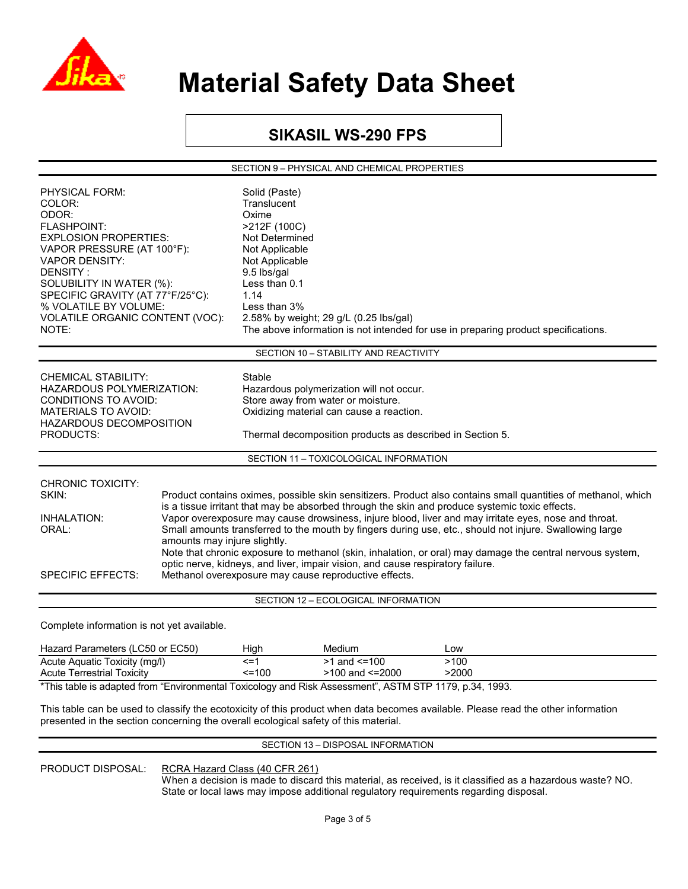

### **SIKASIL WS-290 FPS**

SECTION 9 – PHYSICAL AND CHEMICAL PROPERTIES

| PHYSICAL FORM:<br>COLOR:<br>ODOR:<br>FLASHPOINT:<br><b>EXPLOSION PROPERTIES:</b><br>VAPOR PRESSURE (AT 100°F):<br><b>VAPOR DENSITY:</b><br>DENSITY:<br>SOLUBILITY IN WATER (%):<br>SPECIFIC GRAVITY (AT 77°F/25°C):<br>% VOLATILE BY VOLUME:<br>VOLATILE ORGANIC CONTENT (VOC):<br>NOTE:                                                                                                                                                                                                                                                                                                                                                                                                                                                                                                                            |  | Solid (Paste)<br>Translucent<br>Oxime<br>>212F (100C)<br>Not Determined<br>Not Applicable<br>Not Applicable<br>9.5 lbs/gal<br>Less than 0.1<br>1.14<br>Less than 3% | 2.58% by weight; 29 g/L (0.25 lbs/gal)<br>The above information is not intended for use in preparing product specifications.                                                            |               |  |
|---------------------------------------------------------------------------------------------------------------------------------------------------------------------------------------------------------------------------------------------------------------------------------------------------------------------------------------------------------------------------------------------------------------------------------------------------------------------------------------------------------------------------------------------------------------------------------------------------------------------------------------------------------------------------------------------------------------------------------------------------------------------------------------------------------------------|--|---------------------------------------------------------------------------------------------------------------------------------------------------------------------|-----------------------------------------------------------------------------------------------------------------------------------------------------------------------------------------|---------------|--|
|                                                                                                                                                                                                                                                                                                                                                                                                                                                                                                                                                                                                                                                                                                                                                                                                                     |  |                                                                                                                                                                     | SECTION 10 - STABILITY AND REACTIVITY                                                                                                                                                   |               |  |
| <b>CHEMICAL STABILITY:</b><br><b>HAZARDOUS POLYMERIZATION:</b><br><b>CONDITIONS TO AVOID:</b><br><b>MATERIALS TO AVOID:</b><br>HAZARDOUS DECOMPOSITION<br>PRODUCTS:                                                                                                                                                                                                                                                                                                                                                                                                                                                                                                                                                                                                                                                 |  | Stable                                                                                                                                                              | Hazardous polymerization will not occur.<br>Store away from water or moisture.<br>Oxidizing material can cause a reaction.<br>Thermal decomposition products as described in Section 5. |               |  |
|                                                                                                                                                                                                                                                                                                                                                                                                                                                                                                                                                                                                                                                                                                                                                                                                                     |  |                                                                                                                                                                     | SECTION 11 - TOXICOLOGICAL INFORMATION                                                                                                                                                  |               |  |
| <b>CHRONIC TOXICITY:</b><br>SKIN:<br>Product contains oximes, possible skin sensitizers. Product also contains small quantities of methanol, which<br>is a tissue irritant that may be absorbed through the skin and produce systemic toxic effects.<br>Vapor overexposure may cause drowsiness, injure blood, liver and may irritate eyes, nose and throat.<br>INHALATION:<br>ORAL:<br>Small amounts transferred to the mouth by fingers during use, etc., should not injure. Swallowing large<br>amounts may injure slightly.<br>Note that chronic exposure to methanol (skin, inhalation, or oral) may damage the central nervous system,<br>optic nerve, kidneys, and liver, impair vision, and cause respiratory failure.<br><b>SPECIFIC EFFECTS:</b><br>Methanol overexposure may cause reproductive effects. |  |                                                                                                                                                                     |                                                                                                                                                                                         |               |  |
|                                                                                                                                                                                                                                                                                                                                                                                                                                                                                                                                                                                                                                                                                                                                                                                                                     |  |                                                                                                                                                                     |                                                                                                                                                                                         |               |  |
|                                                                                                                                                                                                                                                                                                                                                                                                                                                                                                                                                                                                                                                                                                                                                                                                                     |  |                                                                                                                                                                     | SECTION 12 - ECOLOGICAL INFORMATION                                                                                                                                                     |               |  |
| Complete information is not yet available.                                                                                                                                                                                                                                                                                                                                                                                                                                                                                                                                                                                                                                                                                                                                                                          |  |                                                                                                                                                                     |                                                                                                                                                                                         |               |  |
| Hazard Parameters (LC50 or EC50)                                                                                                                                                                                                                                                                                                                                                                                                                                                                                                                                                                                                                                                                                                                                                                                    |  | High                                                                                                                                                                | Medium                                                                                                                                                                                  | Low           |  |
| Acute Aquatic Toxicity (mg/l)<br><b>Acute Terrestrial Toxicity</b>                                                                                                                                                                                                                                                                                                                                                                                                                                                                                                                                                                                                                                                                                                                                                  |  | $\leq$ =1<br>$=100$                                                                                                                                                 | $>1$ and $\leq 100$<br>$>100$ and $\leq 2000$                                                                                                                                           | >100<br>>2000 |  |

\*This table is adapted from "Environmental Toxicology and Risk Assessment", ASTM STP 1179, p.34, 1993.

This table can be used to classify the ecotoxicity of this product when data becomes available. Please read the other information presented in the section concerning the overall ecological safety of this material.

#### SECTION 13 – DISPOSAL INFORMATION

PRODUCT DISPOSAL: RCRA Hazard Class (40 CFR 261)

 When a decision is made to discard this material, as received, is it classified as a hazardous waste? NO. State or local laws may impose additional regulatory requirements regarding disposal.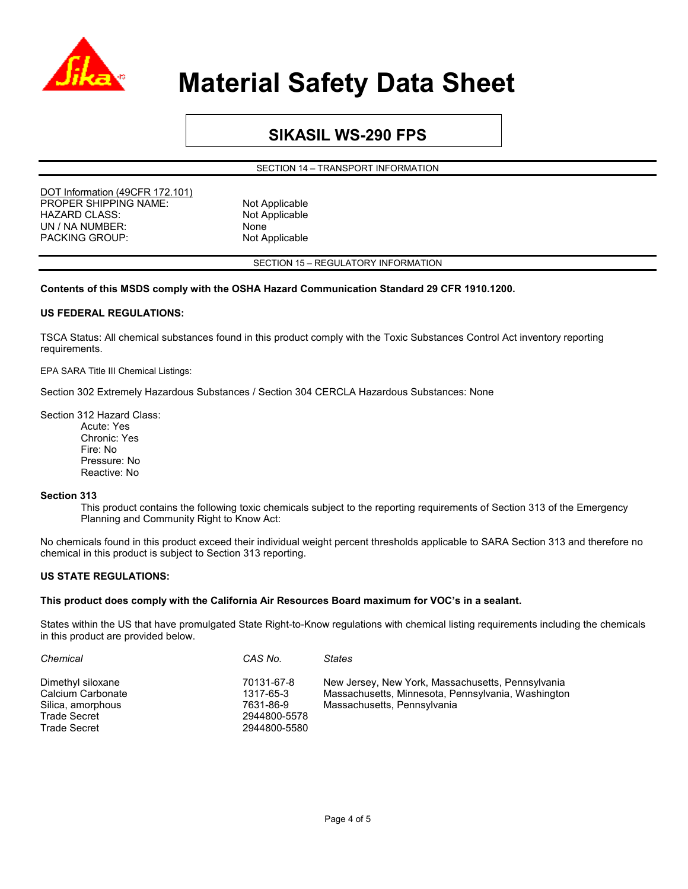

### **SIKASIL WS-290 FPS**

SECTION 14 – TRANSPORT INFORMATION

DOT Information (49CFR 172.101) PROPER SHIPPING NAME: Not Applicable HAZARD CLASS: Not Applicable UN / NA NUMBER:<br>
PACKING GROUP: Not Applicable PACKING GROUP:

SECTION 15 – REGULATORY INFORMATION

#### **Contents of this MSDS comply with the OSHA Hazard Communication Standard 29 CFR 1910.1200.**

#### **US FEDERAL REGULATIONS:**

TSCA Status: All chemical substances found in this product comply with the Toxic Substances Control Act inventory reporting requirements.

EPA SARA Title III Chemical Listings:

Section 302 Extremely Hazardous Substances / Section 304 CERCLA Hazardous Substances: None

Section 312 Hazard Class:

Acute: Yes Chronic: Yes Fire: No Pressure: No Reactive: No

#### **Section 313**

This product contains the following toxic chemicals subject to the reporting requirements of Section 313 of the Emergency Planning and Community Right to Know Act:

No chemicals found in this product exceed their individual weight percent thresholds applicable to SARA Section 313 and therefore no chemical in this product is subject to Section 313 reporting.

#### **US STATE REGULATIONS:**

#### **This product does comply with the California Air Resources Board maximum for VOC's in a sealant.**

States within the US that have promulgated State Right-to-Know regulations with chemical listing requirements including the chemicals in this product are provided below.

| Chemical                               | CAS No.                 | <b>States</b>                                                                                           |
|----------------------------------------|-------------------------|---------------------------------------------------------------------------------------------------------|
| Dimethyl siloxane<br>Calcium Carbonate | 70131-67-8<br>1317-65-3 | New Jersey, New York, Massachusetts, Pennsylvania<br>Massachusetts, Minnesota, Pennsylvania, Washington |
| Silica, amorphous                      | 7631-86-9               | Massachusetts, Pennsylvania                                                                             |
| <b>Trade Secret</b>                    | 2944800-5578            |                                                                                                         |
| <b>Trade Secret</b>                    | 2944800-5580            |                                                                                                         |